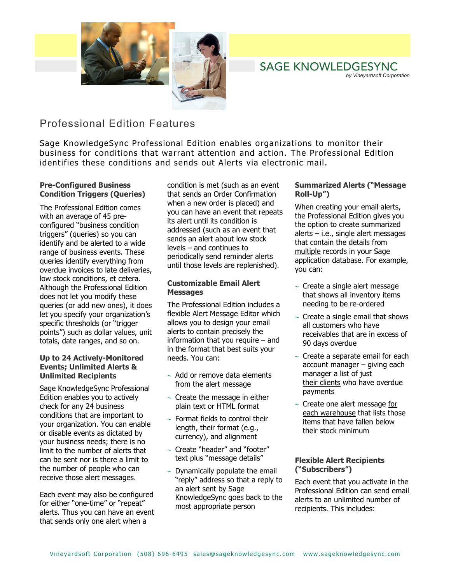

# SAGE KNOWLEDGESYNC *by Vineyardsoft Corporation*

# Professional Edition Features

Sage KnowledgeSync Professional Edition enables organizations to monitor their business for conditions that warrant attention and action. The Professional Edition identifies these conditions and sends out Alerts via electronic mail.

# **Pre-Configured Business Condition Triggers (Queries)**

The Professional Edition comes with an average of 45 preconfigured "business condition triggers" (queries) so you can identify and be alerted to a wide range of business events. These queries identify everything from overdue invoices to late deliveries, low stock conditions, et cetera. Although the Professional Edition does not let you modify these queries (or add new ones), it does let you specify your organization's specific thresholds (or "trigger points") such as dollar values, unit totals, date ranges, and so on.

# **Up to 24 Actively-Monitored Events; Unlimited Alerts & Unlimited Recipients**

Sage KnowledgeSync Professional Edition enables you to actively check for any 24 business conditions that are important to your organization. You can enable or disable events as dictated by your business needs; there is no limit to the number of alerts that can be sent nor is there a limit to the number of people who can receive those alert messages.

Each event may also be configured for either "one-time" or "repeat" alerts. Thus you can have an event that sends only one alert when a

condition is met (such as an event that sends an Order Confirmation when a new order is placed) and you can have an event that repeats its alert until its condition is addressed (such as an event that sends an alert about low stock levels – and continues to periodically send reminder alerts until those levels are replenished).

# **Customizable Email Alert Messages**

The Professional Edition includes a flexible Alert Message Editor which allows you to design your email alerts to contain precisely the information that you require – and in the format that best suits your needs. You can:

- ∼ Add or remove data elements from the alert message
- ∼ Create the message in either plain text or HTML format
- ∼ Format fields to control their length, their format (e.g., currency), and alignment
- ∼ Create "header" and "footer" text plus "message details"
- ∼ Dynamically populate the email "reply" address so that a reply to an alert sent by Sage KnowledgeSync goes back to the most appropriate person

# **Summarized Alerts ("Message Roll-Up")**

When creating your email alerts, the Professional Edition gives you the option to create summarized alerts – i.e., single alert messages that contain the details from multiple records in your Sage application database. For example, you can:

- ∼ Create a single alert message that shows all inventory items needing to be re-ordered
- ∼ Create a single email that shows all customers who have receivables that are in excess of 90 days overdue
- ∼ Create a separate email for each account manager – giving each manager a list of just their clients who have overdue payments
- ∼ Create one alert message for each warehouse that lists those items that have fallen below their stock minimum

### **Flexible Alert Recipients ("Subscribers")**

Each event that you activate in the Professional Edition can send email alerts to an unlimited number of recipients. This includes: